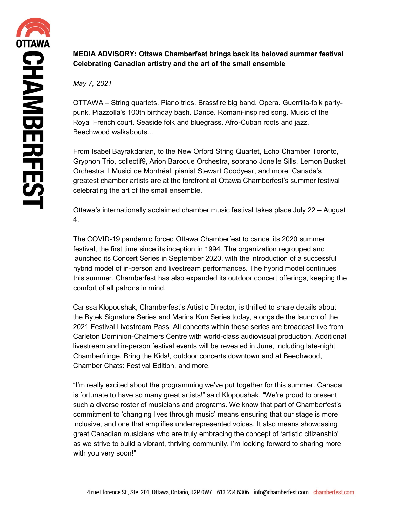# **MEDIA ADVISORY: Ottawa Chamberfest brings back its beloved summer festival Celebrating Canadian artistry and the art of the small ensemble**

*May 7, 2021*

OTTAWA – String quartets. Piano trios. Brassfire big band. Opera. Guerrilla-folk partypunk. Piazzolla's 100th birthday bash. Dance. Romani-inspired song. Music of the Royal French court. Seaside folk and bluegrass. Afro-Cuban roots and jazz. Beechwood walkabouts…

From Isabel Bayrakdarian, to the New Orford String Quartet, Echo Chamber Toronto, Gryphon Trio, collectif9, Arion Baroque Orchestra, soprano Jonelle Sills, Lemon Bucket Orchestra, I Musici de Montréal, pianist Stewart Goodyear, and more, Canada's greatest chamber artists are at the forefront at Ottawa Chamberfest's summer festival celebrating the art of the small ensemble.

Ottawa's internationally acclaimed chamber music festival takes place July 22 – August 4.

The COVID-19 pandemic forced Ottawa Chamberfest to cancel its 2020 summer festival, the first time since its inception in 1994. The organization regrouped and launched its Concert Series in September 2020, with the introduction of a successful hybrid model of in-person and livestream performances. The hybrid model continues this summer. Chamberfest has also expanded its outdoor concert offerings, keeping the comfort of all patrons in mind.

Carissa Klopoushak, Chamberfest's Artistic Director, is thrilled to share details about the Bytek Signature Series and Marina Kun Series today, alongside the launch of the 2021 Festival Livestream Pass. All concerts within these series are broadcast live from Carleton Dominion-Chalmers Centre with world-class audiovisual production. Additional livestream and in-person festival events will be revealed in June, including late-night Chamberfringe, Bring the Kids!, outdoor concerts downtown and at Beechwood, Chamber Chats: Festival Edition, and more.

"I'm really excited about the programming we've put together for this summer. Canada is fortunate to have so many great artists!" said Klopoushak. "We're proud to present such a diverse roster of musicians and programs. We know that part of Chamberfest's commitment to 'changing lives through music' means ensuring that our stage is more inclusive, and one that amplifies underrepresented voices. It also means showcasing great Canadian musicians who are truly embracing the concept of 'artistic citizenship' as we strive to build a vibrant, thriving community. I'm looking forward to sharing more with you very soon!"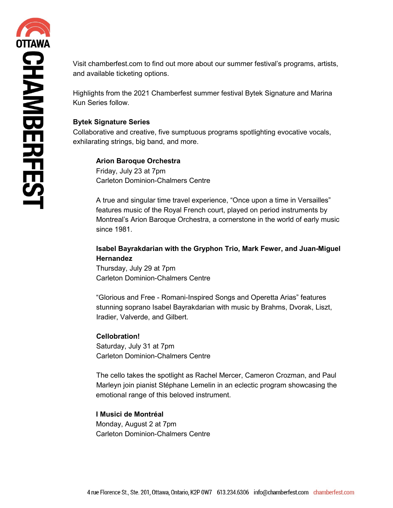Visit chamberfest.com to find out more about our summer festival's programs, artists, and available ticketing options.

Highlights from the 2021 Chamberfest summer festival Bytek Signature and Marina Kun Series follow.

## **Bytek Signature Series**

Collaborative and creative, five sumptuous programs spotlighting evocative vocals, exhilarating strings, big band, and more.

## **Arion Baroque Orchestra**

Friday, July 23 at 7pm Carleton Dominion-Chalmers Centre

A true and singular time travel experience, "Once upon a time in Versailles" features music of the Royal French court, played on period instruments by Montreal's Arion Baroque Orchestra, a cornerstone in the world of early music since 1981.

## **Isabel Bayrakdarian with the Gryphon Trio, Mark Fewer, and Juan-Miguel Hernandez**

Thursday, July 29 at 7pm Carleton Dominion-Chalmers Centre

"Glorious and Free - Romani-Inspired Songs and Operetta Arias" features stunning soprano Isabel Bayrakdarian with music by Brahms, Dvorak, Liszt, Iradier, Valverde, and Gilbert.

## **Cellobration!**

Saturday, July 31 at 7pm Carleton Dominion-Chalmers Centre

The cello takes the spotlight as Rachel Mercer, Cameron Crozman, and Paul Marleyn join pianist Stéphane Lemelin in an eclectic program showcasing the emotional range of this beloved instrument.

## **I Musici de Montréal** Monday, August 2 at 7pm Carleton Dominion-Chalmers Centre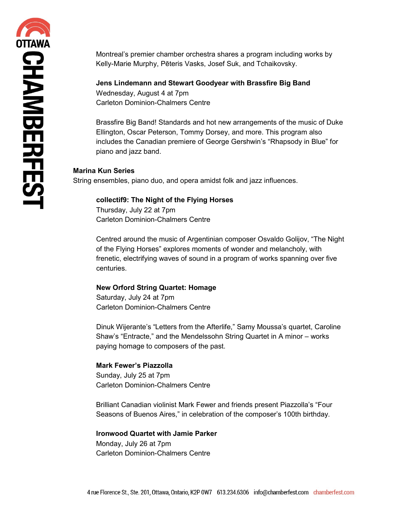Montreal's premier chamber orchestra shares a program including works by Kelly-Marie Murphy, Pēteris Vasks, Josef Suk, and Tchaikovsky.

### **Jens Lindemann and Stewart Goodyear with Brassfire Big Band**

Wednesday, August 4 at 7pm Carleton Dominion-Chalmers Centre

Brassfire Big Band! Standards and hot new arrangements of the music of Duke Ellington, Oscar Peterson, Tommy Dorsey, and more. This program also includes the Canadian premiere of George Gershwin's "Rhapsody in Blue" for piano and jazz band.

### **Marina Kun Series**

String ensembles, piano duo, and opera amidst folk and jazz influences.

### **collectif9: The Night of the Flying Horses**

Thursday, July 22 at 7pm Carleton Dominion-Chalmers Centre

Centred around the music of Argentinian composer Osvaldo Golijov, "The Night of the Flying Horses" explores moments of wonder and melancholy, with frenetic, electrifying waves of sound in a program of works spanning over five centuries.

### **New Orford String Quartet: Homage**

Saturday, July 24 at 7pm Carleton Dominion-Chalmers Centre

Dinuk Wijerante's "Letters from the Afterlife," Samy Moussa's quartet, Caroline Shaw's "Entracte," and the Mendelssohn String Quartet in A minor – works paying homage to composers of the past.

#### **Mark Fewer's Piazzolla**

Sunday, July 25 at 7pm Carleton Dominion-Chalmers Centre

Brilliant Canadian violinist Mark Fewer and friends present Piazzolla's "Four Seasons of Buenos Aires," in celebration of the composer's 100th birthday.

### **Ironwood Quartet with Jamie Parker**

Monday, July 26 at 7pm Carleton Dominion-Chalmers Centre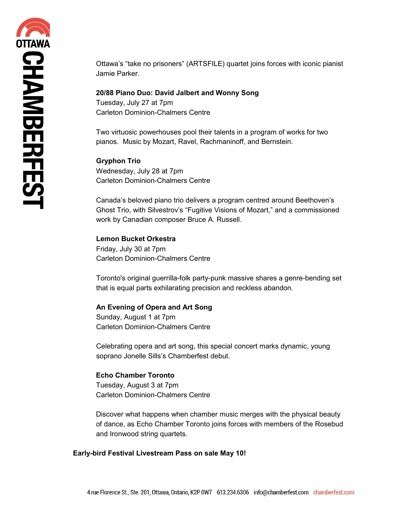Ottawa's "take no prisoners" (ARTSFILE) quartet joins forces with iconic pianist Jamie Parker.

### **20/88 Piano Duo: David Jalbert and Wonny Song**

Tuesday, July 27 at 7pm Carleton Dominion-Chalmers Centre

Two virtuosic powerhouses pool their talents in a program of works for two pianos. Music by Mozart, Ravel, Rachmaninoff, and Bernstein.

**Gryphon Trio** Wednesday, July 28 at 7pm Carleton Dominion-Chalmers Centre

Canada's beloved piano trio delivers a program centred around Beethoven's Ghost Trio, with Silvestrov's "Fugitive Visions of Mozart," and a commissioned work by Canadian composer Bruce A. Russell.

**Lemon Bucket Orkestra** Friday, July 30 at 7pm Carleton Dominion-Chalmers Centre

Toronto's original guerrilla-folk party-punk massive shares a genre-bending set that is equal parts exhilarating precision and reckless abandon.

#### **An Evening of Opera and Art Song**

Sunday, August 1 at 7pm Carleton Dominion-Chalmers Centre

Celebrating opera and art song, this special concert marks dynamic, young soprano Jonelle Sills's Chamberfest debut.

### **Echo Chamber Toronto**

Tuesday, August 3 at 7pm Carleton Dominion-Chalmers Centre

Discover what happens when chamber music merges with the physical beauty of dance, as Echo Chamber Toronto joins forces with members of the Rosebud and Ironwood string quartets.

#### **Early-bird Festival Livestream Pass on sale May 10!**